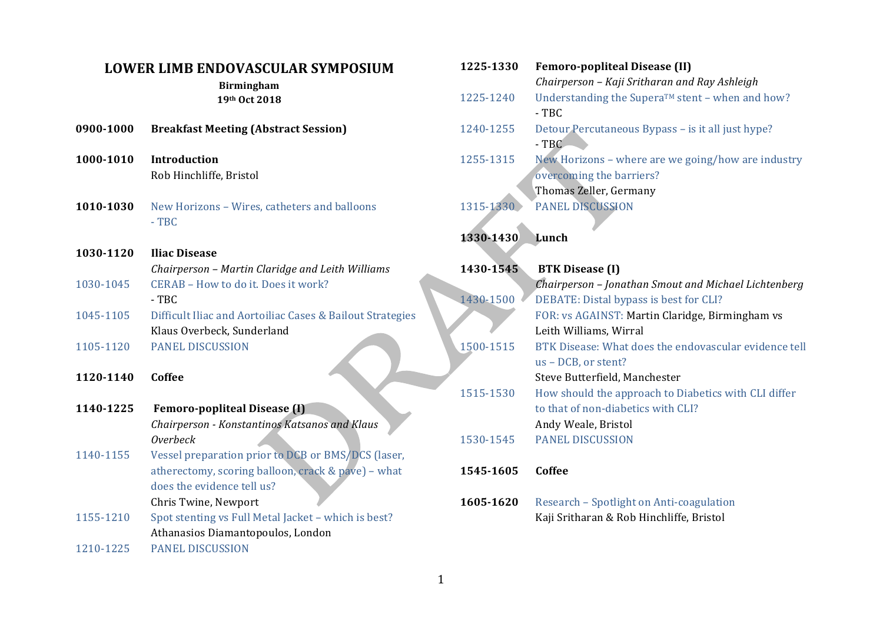## **LOWER LIMB ENDOVASCULAR SYMPOSIUM**

**Birmingham 19th Oct 2018**

| 0900-1000 | <b>Breakfast Meeting (Abstract Session)</b> |  |
|-----------|---------------------------------------------|--|
|           |                                             |  |

- **1000-1010 Introduction** Rob Hinchliffe, Bristol
- **1010-1030** New Horizons Wires, catheters and balloons - TBC
- **1030-1120 Iliac Disease** *Chairperson – Martin Claridge and Leith Williams* 1030-1045 CERAB – How to do it. Does it work? - TBC 1045-1105 Difficult Iliac and Aortoiliac Cases & Bailout Strategies
- Klaus Overbeck, Sunderland
- 1105-1120 PANEL DISCUSSION

**1120-1140 Coffee**

| 1140-1225 | <b>Femoro-popliteal Disease (I)</b>           |  |
|-----------|-----------------------------------------------|--|
|           | Chairperson - Konstantinos Katsanos and Klaus |  |
|           | Overbeck                                      |  |
|           |                                               |  |

- 1140-1155 Vessel preparation prior to DCB or BMS/DCS (laser, atherectomy, scoring balloon, crack & pave) - what does the evidence tell us? Chris Twine, Newport
- 1155-1210 Spot stenting vs Full Metal Jacket which is best? Athanasios Diamantopoulos, London
- 1210-1225 PANEL DISCUSSION

| 1225-1330 | <b>Femoro-popliteal Disease (II)</b>                                                             |
|-----------|--------------------------------------------------------------------------------------------------|
| 1225-1240 | Chairperson - Kaji Sritharan and Ray Ashleigh<br>Understanding the Supera™ stent - when and how? |
|           | $-TBC$                                                                                           |
| 1240-1255 | Detour Percutaneous Bypass - is it all just hype?<br>$-TBC$                                      |
| 1255-1315 | New Horizons - where are we going/how are industry                                               |
|           | overcoming the barriers?                                                                         |
|           | Thomas Zeller, Germany                                                                           |
| 1315-1330 | <b>PANEL DISCUSSION</b>                                                                          |
|           |                                                                                                  |
| 1330-1430 | Lunch                                                                                            |
|           |                                                                                                  |
| 1430-1545 | <b>BTK Disease (I)</b>                                                                           |
|           | Chairperson - Jonathan Smout and Michael Lichtenberg                                             |
| 1430-1500 | DEBATE: Distal bypass is best for CLI?                                                           |
|           | FOR: vs AGAINST: Martin Claridge, Birmingham vs                                                  |
|           | Leith Williams, Wirral                                                                           |
| 1500-1515 | BTK Disease: What does the endovascular evidence tell                                            |
|           | us - DCB, or stent?                                                                              |
|           | Steve Butterfield, Manchester                                                                    |
| 1515-1530 | How should the approach to Diabetics with CLI differ                                             |
|           | to that of non-diabetics with CLI?                                                               |
|           | Andy Weale, Bristol                                                                              |
| 1530-1545 | <b>PANEL DISCUSSION</b>                                                                          |
| 1545-1605 | Coffee                                                                                           |
| 1605-1620 | Research - Spotlight on Anti-coagulation<br>Kaji Sritharan & Rob Hinchliffe, Bristol             |